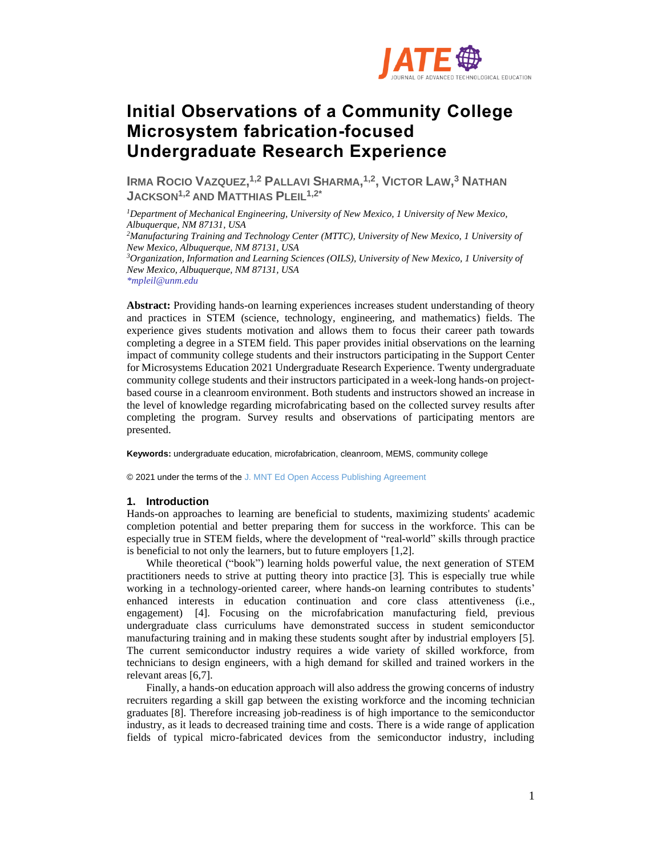

# **Initial Observations of a Community College Microsystem fabrication-focused Undergraduate Research Experience**

IRMA ROCIO VAZQUEZ,<sup>1,2</sup> PALLAVI SHARMA,<sup>1,2</sup>, VICTOR LAW,<sup>3</sup> NATHAN **JACKSON1,2 AND MATTHIAS PLEIL1,2\***

*<sup>1</sup>Department of Mechanical Engineering, University of New Mexico, 1 University of New Mexico, Albuquerque, NM 87131, USA <sup>2</sup>Manufacturing Training and Technology Center (MTTC), University of New Mexico, 1 University of New Mexico, Albuquerque, NM 87131, USA <sup>3</sup>Organization, Information and Learning Sciences (OILS), University of New Mexico, 1 University of New Mexico, Albuquerque, NM 87131, USA \*mpleil@unm.edu*

**Abstract:** Providing hands-on learning experiences increases student understanding of theory and practices in STEM (science, technology, engineering, and mathematics) fields. The experience gives students motivation and allows them to focus their career path towards completing a degree in a STEM field. This paper provides initial observations on the learning impact of community college students and their instructors participating in the Support Center for Microsystems Education 2021 Undergraduate Research Experience. Twenty undergraduate community college students and their instructors participated in a week-long hands-on projectbased course in a cleanroom environment. Both students and instructors showed an increase in the level of knowledge regarding microfabricating based on the collected survey results after completing the program. Survey results and observations of participating mentors are presented.

**Keywords:** undergraduate education, microfabrication, cleanroom, MEMS, community college

© 2021 under the terms of the J. MNT Ed Open Access Publishing Agreement

## **1. Introduction**

Hands-on approaches to learning are beneficial to students, maximizing students' academic completion potential and better preparing them for success in the workforce. This can be especially true in STEM fields, where the development of "real-world" skills through practice is beneficial to not only the learners, but to future employers [1,2].

While theoretical ("book") learning holds powerful value, the next generation of STEM practitioners needs to strive at putting theory into practice [3]. This is especially true while working in a technology-oriented career, where hands-on learning contributes to students' enhanced interests in education continuation and core class attentiveness (i.e., engagement) [4]. Focusing on the microfabrication manufacturing field, previous undergraduate class curriculums have demonstrated success in student semiconductor manufacturing training and in making these students sought after by industrial employers [5]. The current semiconductor industry requires a wide variety of skilled workforce, from technicians to design engineers, with a high demand for skilled and trained workers in the relevant areas [6,7].

Finally, a hands-on education approach will also address the growing concerns of industry recruiters regarding a skill gap between the existing workforce and the incoming technician graduates [8]. Therefore increasing job-readiness is of high importance to the semiconductor industry, as it leads to decreased training time and costs. There is a wide range of application fields of typical micro-fabricated devices from the semiconductor industry, including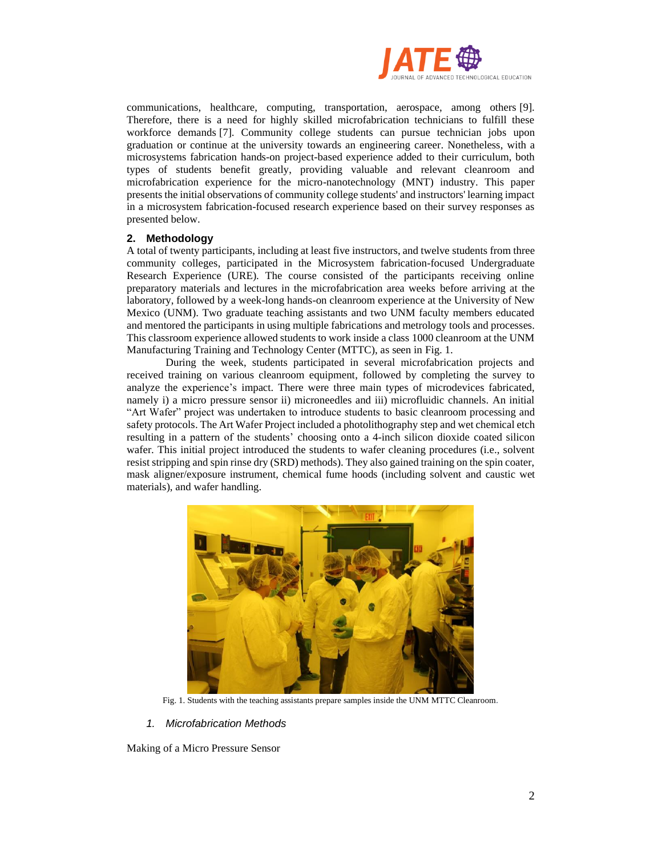

communications, healthcare, computing, transportation, aerospace, among others [9]. Therefore, there is a need for highly skilled microfabrication technicians to fulfill these workforce demands [7]. Community college students can pursue technician jobs upon graduation or continue at the university towards an engineering career. Nonetheless, with a microsystems fabrication hands-on project-based experience added to their curriculum, both types of students benefit greatly, providing valuable and relevant cleanroom and microfabrication experience for the micro-nanotechnology (MNT) industry. This paper presents the initial observations of community college students' and instructors' learning impact in a microsystem fabrication-focused research experience based on their survey responses as presented below.

# **2. Methodology**

A total of twenty participants, including at least five instructors, and twelve students from three community colleges, participated in the Microsystem fabrication-focused Undergraduate Research Experience (URE). The course consisted of the participants receiving online preparatory materials and lectures in the microfabrication area weeks before arriving at the laboratory, followed by a week-long hands-on cleanroom experience at the University of New Mexico (UNM). Two graduate teaching assistants and two UNM faculty members educated and mentored the participants in using multiple fabrications and metrology tools and processes. This classroom experience allowed students to work inside a class 1000 cleanroom at the UNM Manufacturing Training and Technology Center (MTTC), as seen in [Fig. 1.](#page-1-0)

During the week, students participated in several microfabrication projects and received training on various cleanroom equipment, followed by completing the survey to analyze the experience's impact. There were three main types of microdevices fabricated, namely i) a micro pressure sensor ii) microneedles and iii) microfluidic channels. An initial "Art Wafer" project was undertaken to introduce students to basic cleanroom processing and safety protocols. The Art Wafer Project included a photolithography step and wet chemical etch resulting in a pattern of the students' choosing onto a 4-inch silicon dioxide coated silicon wafer. This initial project introduced the students to wafer cleaning procedures (i.e., solvent resist stripping and spin rinse dry (SRD) methods). They also gained training on the spin coater, mask aligner/exposure instrument, chemical fume hoods (including solvent and caustic wet materials), and wafer handling.



Fig. 1. Students with the teaching assistants prepare samples inside the UNM MTTC Cleanroom*.*

<span id="page-1-0"></span>*1. Microfabrication Methods*

Making of a Micro Pressure Sensor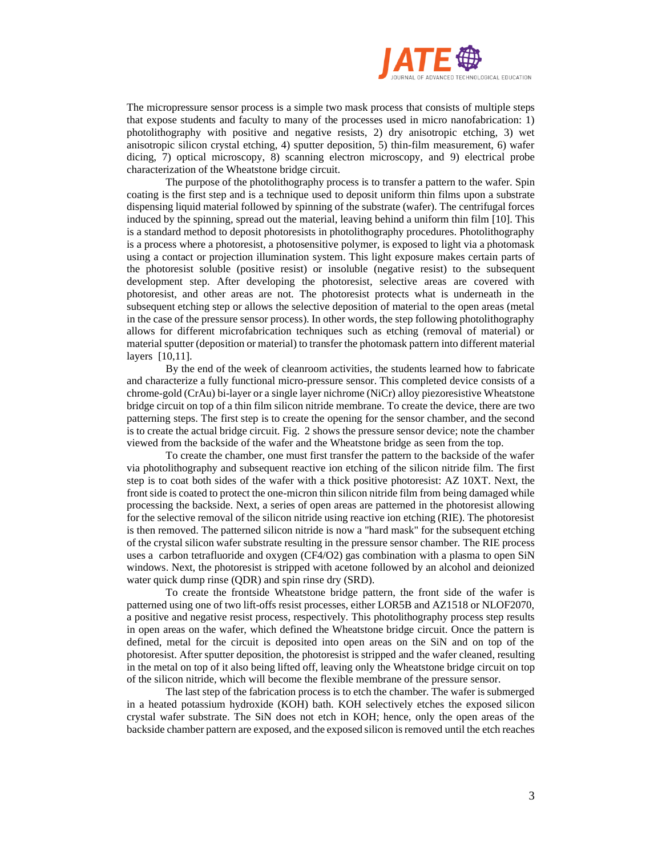

The micropressure sensor process is a simple two mask process that consists of multiple steps that expose students and faculty to many of the processes used in micro nanofabrication: 1) photolithography with positive and negative resists, 2) dry anisotropic etching, 3) wet anisotropic silicon crystal etching, 4) sputter deposition, 5) thin-film measurement, 6) wafer dicing, 7) optical microscopy, 8) scanning electron microscopy, and 9) electrical probe characterization of the Wheatstone bridge circuit.

The purpose of the photolithography process is to transfer a pattern to the wafer. Spin coating is the first step and is a technique used to deposit uniform thin films upon a substrate dispensing liquid material followed by spinning of the substrate (wafer). The centrifugal forces induced by the spinning, spread out the material, leaving behind a uniform thin film [10]. This is a standard method to deposit photoresists in photolithography procedures. Photolithography is a process where a photoresist, a photosensitive polymer, is exposed to light via a photomask using a contact or projection illumination system. This light exposure makes certain parts of the photoresist soluble (positive resist) or insoluble (negative resist) to the subsequent development step. After developing the photoresist, selective areas are covered with photoresist, and other areas are not. The photoresist protects what is underneath in the subsequent etching step or allows the selective deposition of material to the open areas (metal in the case of the pressure sensor process). In other words, the step following photolithography allows for different microfabrication techniques such as etching (removal of material) or material sputter (deposition or material) to transfer the photomask pattern into different material layers [10,11].

By the end of the week of cleanroom activities, the students learned how to fabricate and characterize a fully functional micro-pressure sensor. This completed device consists of a chrome-gold (CrAu) bi-layer or a single layer nichrome (NiCr) alloy piezoresistive Wheatstone bridge circuit on top of a thin film silicon nitride membrane. To create the device, there are two patterning steps. The first step is to create the opening for the sensor chamber, and the second is to create the actual bridge circuit. [Fig. 2](#page-3-0) shows the pressure sensor device; note the chamber viewed from the backside of the wafer and the Wheatstone bridge as seen from the top.

To create the chamber, one must first transfer the pattern to the backside of the wafer via photolithography and subsequent reactive ion etching of the silicon nitride film. The first step is to coat both sides of the wafer with a thick positive photoresist: AZ 10XT. Next, the front side is coated to protect the one-micron thin silicon nitride film from being damaged while processing the backside. Next, a series of open areas are patterned in the photoresist allowing for the selective removal of the silicon nitride using reactive ion etching (RIE). The photoresist is then removed. The patterned silicon nitride is now a "hard mask" for the subsequent etching of the crystal silicon wafer substrate resulting in the pressure sensor chamber. The RIE process uses a carbon tetrafluoride and oxygen (CF4/O2) gas combination with a plasma to open SiN windows. Next, the photoresist is stripped with acetone followed by an alcohol and deionized water quick dump rinse (QDR) and spin rinse dry (SRD).

To create the frontside Wheatstone bridge pattern, the front side of the wafer is patterned using one of two lift-offs resist processes, either LOR5B and AZ1518 or NLOF2070, a positive and negative resist process, respectively. This photolithography process step results in open areas on the wafer, which defined the Wheatstone bridge circuit. Once the pattern is defined, metal for the circuit is deposited into open areas on the SiN and on top of the photoresist. After sputter deposition, the photoresist is stripped and the wafer cleaned, resulting in the metal on top of it also being lifted off, leaving only the Wheatstone bridge circuit on top of the silicon nitride, which will become the flexible membrane of the pressure sensor.

The last step of the fabrication process is to etch the chamber. The wafer is submerged in a heated potassium hydroxide (KOH) bath. KOH selectively etches the exposed silicon crystal wafer substrate. The SiN does not etch in KOH; hence, only the open areas of the backside chamber pattern are exposed, and the exposed silicon is removed until the etch reaches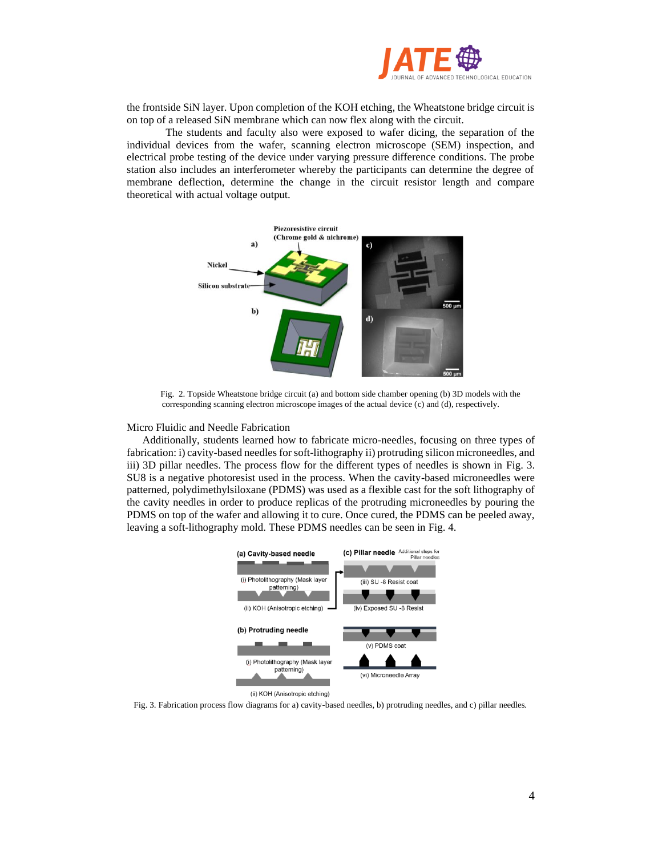

the frontside SiN layer. Upon completion of the KOH etching, the Wheatstone bridge circuit is on top of a released SiN membrane which can now flex along with the circuit.

The students and faculty also were exposed to wafer dicing, the separation of the individual devices from the wafer, scanning electron microscope (SEM) inspection, and electrical probe testing of the device under varying pressure difference conditions. The probe station also includes an interferometer whereby the participants can determine the degree of membrane deflection, determine the change in the circuit resistor length and compare theoretical with actual voltage output.



Fig. 2. Topside Wheatstone bridge circuit (a) and bottom side chamber opening (b) 3D models with the corresponding scanning electron microscope images of the actual device (c) and (d), respectively.

## <span id="page-3-0"></span>Micro Fluidic and Needle Fabrication

Additionally, students learned how to fabricate micro-needles, focusing on three types of fabrication: i) cavity-based needles for soft-lithography ii) protruding silicon microneedles, and iii) 3D pillar needles. The process flow for the different types of needles is shown in [Fig. 3.](#page-3-1) SU8 is a negative photoresist used in the process. When the cavity-based microneedles were patterned, polydimethylsiloxane (PDMS) was used as a flexible cast for the soft lithography of the cavity needles in order to produce replicas of the protruding microneedles by pouring the PDMS on top of the wafer and allowing it to cure. Once cured, the PDMS can be peeled away, leaving a soft-lithography mold. These PDMS needles can be seen in [Fig. 4.](#page-4-0)



<span id="page-3-1"></span>Fig. 3. Fabrication process flow diagrams for a) cavity-based needles, b) protruding needles, and c) pillar needles.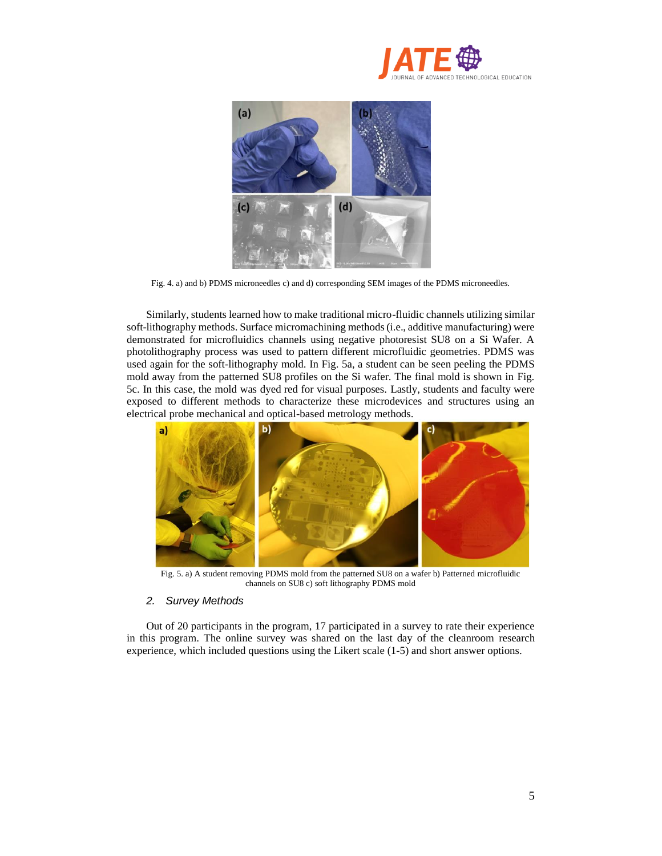



<span id="page-4-0"></span>Fig. 4. a) and b) PDMS microneedles c) and d) corresponding SEM images of the PDMS microneedles.

Similarly, students learned how to make traditional micro-fluidic channels utilizing similar soft-lithography methods. Surface micromachining methods (i.e., additive manufacturing) were demonstrated for microfluidics channels using negative photoresist SU8 on a Si Wafer. A photolithography process was used to pattern different microfluidic geometries. PDMS was used again for the soft-lithography mold. In [Fig. 5a](#page-4-1), a student can be seen peeling the PDMS mold away from the patterned SU8 profiles on the Si wafer. The final mold is shown in [Fig.](#page-4-1)  [5c](#page-4-1). In this case, the mold was dyed red for visual purposes. Lastly, students and faculty were exposed to different methods to characterize these microdevices and structures using an electrical probe mechanical and optical-based metrology methods.



Fig. 5. a) A student removing PDMS mold from the patterned SU8 on a wafer b) Patterned microfluidic channels on SU8 c) soft lithography PDMS mold

# <span id="page-4-1"></span>*2. Survey Methods*

Out of 20 participants in the program, 17 participated in a survey to rate their experience in this program. The online survey was shared on the last day of the cleanroom research experience, which included questions using the Likert scale (1-5) and short answer options.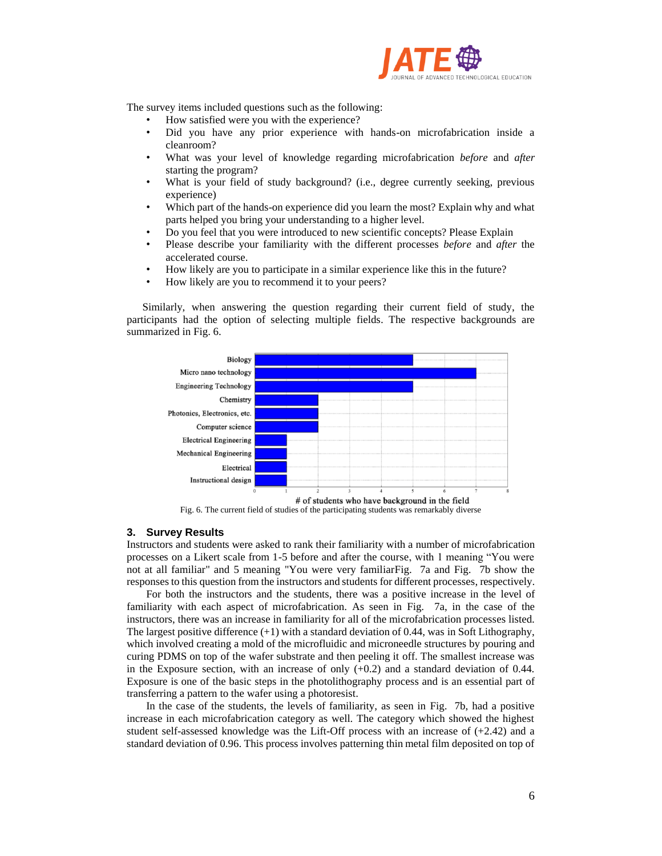

The survey items included questions such as the following:

- How satisfied were you with the experience?
- Did you have any prior experience with hands-on microfabrication inside a cleanroom?
- What was your level of knowledge regarding microfabrication *before* and *after* starting the program?
- What is your field of study background? (i.e., degree currently seeking, previous experience)
- Which part of the hands-on experience did you learn the most? Explain why and what parts helped you bring your understanding to a higher level.
- Do you feel that you were introduced to new scientific concepts? Please Explain
- Please describe your familiarity with the different processes *before* and *after* the accelerated course.
- How likely are you to participate in a similar experience like this in the future?
- How likely are you to recommend it to your peers?

Similarly, when answering the question regarding their current field of study, the participants had the option of selecting multiple fields. The respective backgrounds are summarized in [Fig. 6.](#page-5-0)



Fig. 6. The current field of studies of the participating students was remarkably diverse

#### <span id="page-5-0"></span>**3. Survey Results**

Instructors and students were asked to rank their familiarity with a number of microfabrication processes on a Likert scale from 1-5 before and after the course, with 1 meaning "You were not at all familiar" and 5 meaning "You were very familia[rFig. 7a](#page-6-0) and [Fig. 7b](#page-6-0) show the responses to this question from the instructors and students for different processes, respectively.

For both the instructors and the students, there was a positive increase in the level of familiarity with each aspect of microfabrication. As seen in [Fig. 7a](#page-6-0), in the case of the instructors, there was an increase in familiarity for all of the microfabrication processes listed. The largest positive difference  $(+1)$  with a standard deviation of 0.44, was in Soft Lithography, which involved creating a mold of the microfluidic and microneedle structures by pouring and curing PDMS on top of the wafer substrate and then peeling it off. The smallest increase was in the Exposure section, with an increase of only  $(+0.2)$  and a standard deviation of 0.44. Exposure is one of the basic steps in the photolithography process and is an essential part of transferring a pattern to the wafer using a photoresist.

In the case of the students, the levels of familiarity, as seen in [Fig. 7b](#page-6-0), had a positive increase in each microfabrication category as well. The category which showed the highest student self-assessed knowledge was the Lift-Off process with an increase of (+2.42) and a standard deviation of 0.96. This process involves patterning thin metal film deposited on top of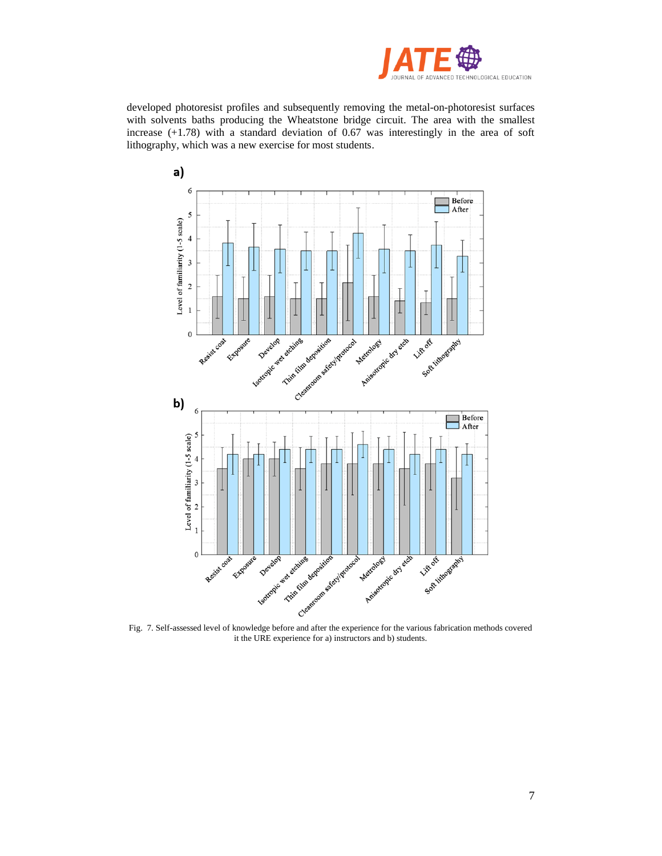

developed photoresist profiles and subsequently removing the metal-on-photoresist surfaces with solvents baths producing the Wheatstone bridge circuit. The area with the smallest increase (+1.78) with a standard deviation of 0.67 was interestingly in the area of soft lithography, which was a new exercise for most students.



<span id="page-6-0"></span>it the URE experience for a) instructors and b) students.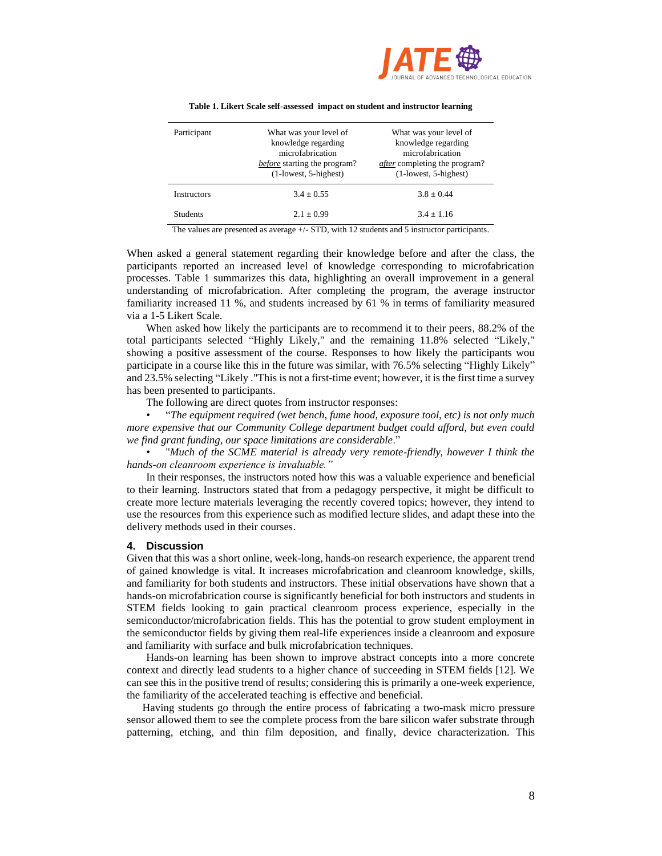

| Participant        | What was your level of<br>knowledge regarding<br>microfabrication<br><i>before</i> starting the program?<br>$(1$ -lowest, 5-highest) | What was your level of<br>knowledge regarding<br>microfabrication<br><i>after</i> completing the program?<br>$(1$ -lowest, 5-highest) |
|--------------------|--------------------------------------------------------------------------------------------------------------------------------------|---------------------------------------------------------------------------------------------------------------------------------------|
| <b>Instructors</b> | $3.4 + 0.55$                                                                                                                         | $3.8 + 0.44$                                                                                                                          |
| <b>Students</b>    | $2.1 + 0.99$                                                                                                                         | $3.4 + 1.16$                                                                                                                          |

#### **Table 1. Likert Scale self-assessed impact on student and instructor learning**

The values are presented as average +/- STD, with 12 students and 5 instructor participants.

When asked a general statement regarding their knowledge before and after the class, the participants reported an increased level of knowledge corresponding to microfabrication processes. Table 1 summarizes this data, highlighting an overall improvement in a general understanding of microfabrication. After completing the program, the average instructor familiarity increased 11 %, and students increased by 61 % in terms of familiarity measured via a 1-5 Likert Scale.

When asked how likely the participants are to recommend it to their peers, 88.2% of the total participants selected "Highly Likely," and the remaining 11.8% selected "Likely," showing a positive assessment of the course. Responses to how likely the participants wou participate in a course like this in the future was similar, with 76.5% selecting "Highly Likely" and 23.5% selecting "Likely ."This is not a first-time event; however, it is the first time a survey has been presented to participants.

The following are direct quotes from instructor responses:

• "*The equipment required (wet bench, fume hood, exposure tool, etc) is not only much more expensive that our Community College department budget could afford, but even could we find grant funding, our space limitations are considerable*."

• "*Much of the SCME material is already very remote-friendly, however I think the hands-on cleanroom experience is invaluable."*

In their responses, the instructors noted how this was a valuable experience and beneficial to their learning. Instructors stated that from a pedagogy perspective, it might be difficult to create more lecture materials leveraging the recently covered topics; however, they intend to use the resources from this experience such as modified lecture slides, and adapt these into the delivery methods used in their courses.

## **4. Discussion**

Given that this was a short online, week-long, hands-on research experience, the apparent trend of gained knowledge is vital. It increases microfabrication and cleanroom knowledge, skills, and familiarity for both students and instructors. These initial observations have shown that a hands-on microfabrication course is significantly beneficial for both instructors and students in STEM fields looking to gain practical cleanroom process experience, especially in the semiconductor/microfabrication fields. This has the potential to grow student employment in the semiconductor fields by giving them real-life experiences inside a cleanroom and exposure and familiarity with surface and bulk microfabrication techniques.

Hands-on learning has been shown to improve abstract concepts into a more concrete context and directly lead students to a higher chance of succeeding in STEM fields [12]. We can see this in the positive trend of results; considering this is primarily a one-week experience, the familiarity of the accelerated teaching is effective and beneficial.

Having students go through the entire process of fabricating a two-mask micro pressure sensor allowed them to see the complete process from the bare silicon wafer substrate through patterning, etching, and thin film deposition, and finally, device characterization. This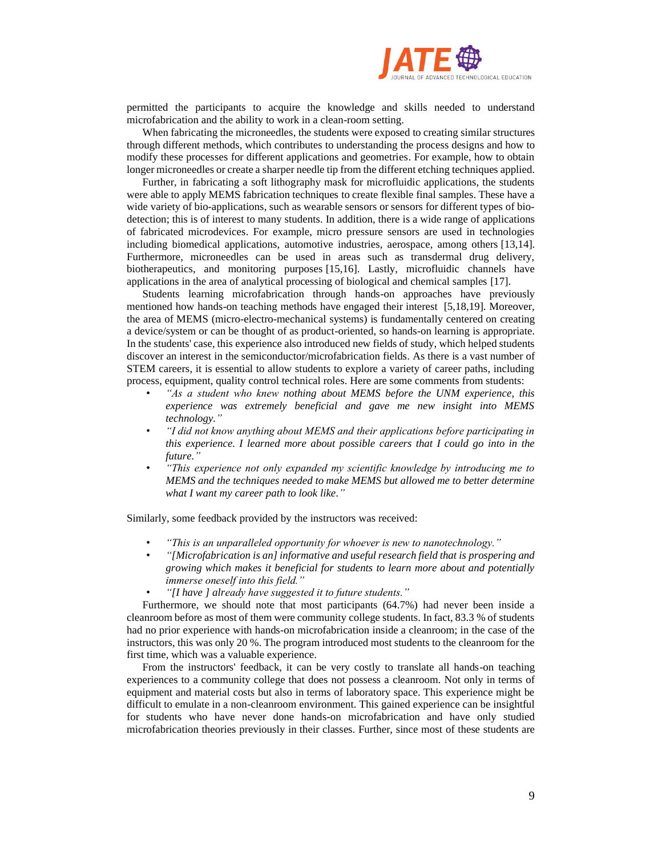

permitted the participants to acquire the knowledge and skills needed to understand microfabrication and the ability to work in a clean-room setting.

When fabricating the microneedles, the students were exposed to creating similar structures through different methods, which contributes to understanding the process designs and how to modify these processes for different applications and geometries. For example, how to obtain longer microneedles or create a sharper needle tip from the different etching techniques applied.

Further, in fabricating a soft lithography mask for microfluidic applications, the students were able to apply MEMS fabrication techniques to create flexible final samples. These have a wide variety of bio-applications, such as wearable sensors or sensors for different types of biodetection; this is of interest to many students. In addition, there is a wide range of applications of fabricated microdevices. For example, micro pressure sensors are used in technologies including biomedical applications, automotive industries, aerospace, among others [13,14]. Furthermore, microneedles can be used in areas such as transdermal drug delivery, biotherapeutics, and monitoring purposes [15,16]. Lastly, microfluidic channels have applications in the area of analytical processing of biological and chemical samples [17].

Students learning microfabrication through hands-on approaches have previously mentioned how hands-on teaching methods have engaged their interest [5,18,19]. Moreover, the area of MEMS (micro-electro-mechanical systems) is fundamentally centered on creating a device/system or can be thought of as product-oriented, so hands-on learning is appropriate. In the students' case, this experience also introduced new fields of study, which helped students discover an interest in the semiconductor/microfabrication fields. As there is a vast number of STEM careers, it is essential to allow students to explore a variety of career paths, including process, equipment, quality control technical roles. Here are some comments from students:

- *"As a student who knew nothing about MEMS before the UNM experience, this experience was extremely beneficial and gave me new insight into MEMS technology."*
- *"I did not know anything about MEMS and their applications before participating in this experience. I learned more about possible careers that I could go into in the future."*
- *"This experience not only expanded my scientific knowledge by introducing me to MEMS and the techniques needed to make MEMS but allowed me to better determine what I want my career path to look like."*

Similarly, some feedback provided by the instructors was received:

- *"This is an unparalleled opportunity for whoever is new to nanotechnology."*
- *"[Microfabrication is an] informative and useful research field that is prospering and growing which makes it beneficial for students to learn more about and potentially immerse oneself into this field."*
- *"[I have ] already have suggested it to future students."*

Furthermore, we should note that most participants (64.7%) had never been inside a cleanroom before as most of them were community college students. In fact, 83.3 % of students had no prior experience with hands-on microfabrication inside a cleanroom; in the case of the instructors, this was only 20 %. The program introduced most students to the cleanroom for the first time, which was a valuable experience.

From the instructors' feedback, it can be very costly to translate all hands-on teaching experiences to a community college that does not possess a cleanroom. Not only in terms of equipment and material costs but also in terms of laboratory space. This experience might be difficult to emulate in a non-cleanroom environment. This gained experience can be insightful for students who have never done hands-on microfabrication and have only studied microfabrication theories previously in their classes. Further, since most of these students are